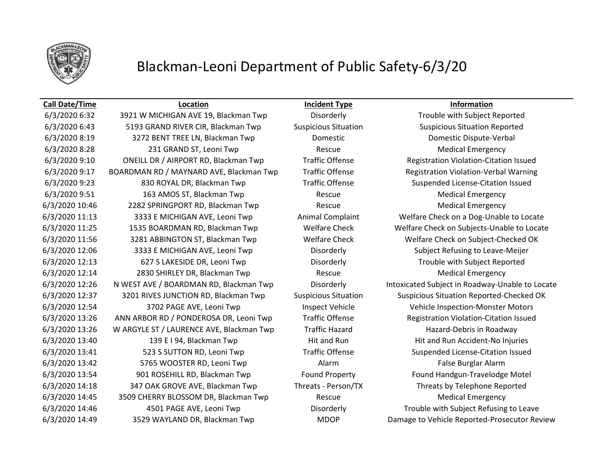

# Blackman-Leoni Department of Public Safety-6/3/20

6/3/2020 6:32 3921 W MICHIGAN AVE 19, Blackman Twp Disorderly Trouble with Subject Reported 6/3/2020 6:43 5193 GRAND RIVER CIR, Blackman Twp Suspicious Situation Suspicious Situation Reported 6/3/2020 8:19 3272 BENT TREE LN, Blackman Twp Domestic Domestic Dispute-Verbal 6/3/2020 8:28 231 GRAND ST, Leoni Twp Rescue Rescue Medical Emergency 6/3/2020 9:10 ONEILL DR / AIRPORT RD, Blackman Twp Traffic Offense Registration Violation-Citation Issued 6/3/2020 9:17 BOARDMAN RD / MAYNARD AVE, Blackman Twp Traffic Offense Registration Violation-Verbal Warning 6/3/2020 9:23 830 ROYAL DR, Blackman Twp Traffic Offense Suspended License-Citation Issued 6/3/2020 9:51 163 AMOS ST, Blackman Twp Rescue Rescue Medical Emergency 6/3/2020 10:46 2282 SPRINGPORT RD, Blackman Twp Rescue Medical Emergency 6/3/2020 11:13 3333 E MICHIGAN AVE, Leoni Twp Animal Complaint Welfare Check on a Dog-Unable to Locate 6/3/2020 11:25 1535 BOARDMAN RD, Blackman Twp Welfare Check Welfare Check on Subjects-Unable to Locate 6/3/2020 11:56 3281 ABBINGTON ST, Blackman Twp Welfare Check Welfare Check on Subject-Checked OK 6/3/2020 12:06 3333 E MICHIGAN AVE, Leoni Twp Disorderly Subject Refusing to Leave-Meijer 6/3/2020 12:13 627 S LAKESIDE DR, Leoni Twp Disorderly Trouble with Subject Reported 6/3/2020 12:14 2830 SHIRLEY DR, Blackman Twp Rescue Rescue Medical Emergency 6/3/2020 12:26 N WEST AVE / BOARDMAN RD, Blackman Twp Disorderly Intoxicated Subject in Roadway-Unable to Locate 6/3/2020 12:37 3201 RIVES JUNCTION RD, Blackman Twp Suspicious Situation Suspicious Situation Reported-Checked OK 6/3/2020 12:54 3702 PAGE AVE, Leoni Twp Inspect Vehicle Vehicle Inspection-Monster Motors 6/3/2020 13:26 ANN ARBOR RD / PONDEROSA DR, Leoni Twp Traffic Offense Registration Violation-Citation Issued 6/3/2020 13:26 W ARGYLE ST / LAURENCE AVE, Blackman Twp Traffic Hazard Hazard Hazard-Debris in Roadway 6/3/2020 13:40 139 E I 94, Blackman Twp Hit and Run Hit and Run Hit and Run Accident-No Injuries 6/3/2020 13:41 523 S SUTTON RD, Leoni Twp Traffic Offense Suspended License-Citation Issued 6/3/2020 13:42 **5765 WOOSTER RD, Leoni Twp** Alarm Alarm False Burglar Alarm 6/3/2020 13:54 901 ROSEHILL RD, Blackman Twp Found Property Found Handgun-Travelodge Motel 6/3/2020 14:18 347 OAK GROVE AVE, Blackman Twp Threats - Person/TX Threats by Telephone Reported 6/3/2020 14:45 3509 CHERRY BLOSSOM DR, Blackman Twp Rescue Rescue Medical Emergency 6/3/2020 14:46 4501 PAGE AVE, Leoni Twp Disorderly Trouble with Subject Refusing to Leave 6/3/2020 14:49 3529 WAYLAND DR, Blackman Twp MDOP Damage to Vehicle Reported-Prosecutor Review

**Call Date/Time Location Incident Type Information**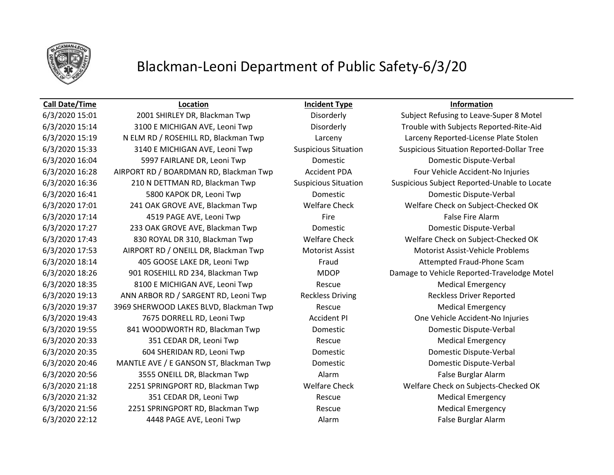

### Blackman-Leoni Department of Public Safety-6/3/20

### **Call Date/Time Location Incident Type Information**

6/3/2020 15:01 2001 SHIRLEY DR, Blackman Twp Disorderly Subject Refusing to Leave-Super 8 Motel 6/3/2020 15:14 3100 E MICHIGAN AVE, Leoni Twp Disorderly Trouble with Subjects Reported-Rite-Aid 6/3/2020 15:19 N ELM RD / ROSEHILL RD, Blackman Twp Larceny Larceny Reported-License Plate Stolen 6/3/2020 15:33 3140 E MICHIGAN AVE, Leoni Twp Suspicious Situation Suspicious Situation Reported-Dollar Tree 6/3/2020 16:04 5997 FAIRLANE DR, Leoni Twp Domestic Domestic Dispute-Verbal 6/3/2020 16:28 AIRPORT RD / BOARDMAN RD, Blackman Twp Accident PDA Four Vehicle Accident-No Injuries 6/3/2020 16:36 210 N DETTMAN RD, Blackman Twp Suspicious Situation Suspicious Subject Reported-Unable to Locate 6/3/2020 16:41 5800 KAPOK DR, Leoni Twp Domestic Domestic Dispute-Verbal 6/3/2020 17:01 241 OAK GROVE AVE, Blackman Twp Welfare Check Welfare Check on Subject-Checked OK 6/3/2020 17:14 4519 PAGE AVE, Leoni Twp Fire False Fire Alarm 6/3/2020 17:27 233 OAK GROVE AVE, Blackman Twp Domestic Domestic Dispute-Verbal 6/3/2020 17:43 830 ROYAL DR 310, Blackman Twp Welfare Check Welfare Check on Subject-Checked OK 6/3/2020 17:53 AIRPORT RD / ONEILL DR, Blackman Twp Motorist Assist Motorist Assist-Vehicle Problems 6/3/2020 18:14 405 GOOSE LAKE DR, Leoni Twp Fraud Attempted Fraud-Phone Scam 6/3/2020 18:26 901 ROSEHILL RD 234, Blackman Twp MDOP Damage to Vehicle Reported-Travelodge Motel 6/3/2020 18:35 8100 E MICHIGAN AVE, Leoni Twp Rescue Rescue Medical Emergency 6/3/2020 19:13 ANN ARBOR RD / SARGENT RD, Leoni Twp Reckless Driving Reckless Driver Reported 6/3/2020 19:37 3969 SHERWOOD LAKES BLVD, Blackman Twp Rescue Rescue Medical Emergency 6/3/2020 19:43 7675 DORRELL RD, Leoni Twp Accident PI One Vehicle Accident-No Injuries 6/3/2020 19:55 841 WOODWORTH RD, Blackman Twp Domestic Domestic Dispute-Verbal 6/3/2020 20:33 351 CEDAR DR, Leoni Twp Rescue Medical Emergency 6/3/2020 20:35 604 SHERIDAN RD, Leoni Twp Domestic Domestic Dispute-Verbal 6/3/2020 20:46 MANTLE AVE / E GANSON ST, Blackman Twp Domestic Domestic Dispute-Verbal 6/3/2020 20:56 3555 ONEILL DR, Blackman Twp Alarm False Burglar Alarm 6/3/2020 21:18 2251 SPRINGPORT RD, Blackman Twp Welfare Check Welfare Check on Subjects-Checked OK 6/3/2020 21:32 **351 CEDAR DR, Leoni Twp Rescue** Rescue Rescue Medical Emergency 6/3/2020 21:56 2251 SPRINGPORT RD, Blackman Twp Rescue Rescue Medical Emergency 6/3/2020 22:12 4448 PAGE AVE, Leoni Twp Alarm False Burglar Alarm